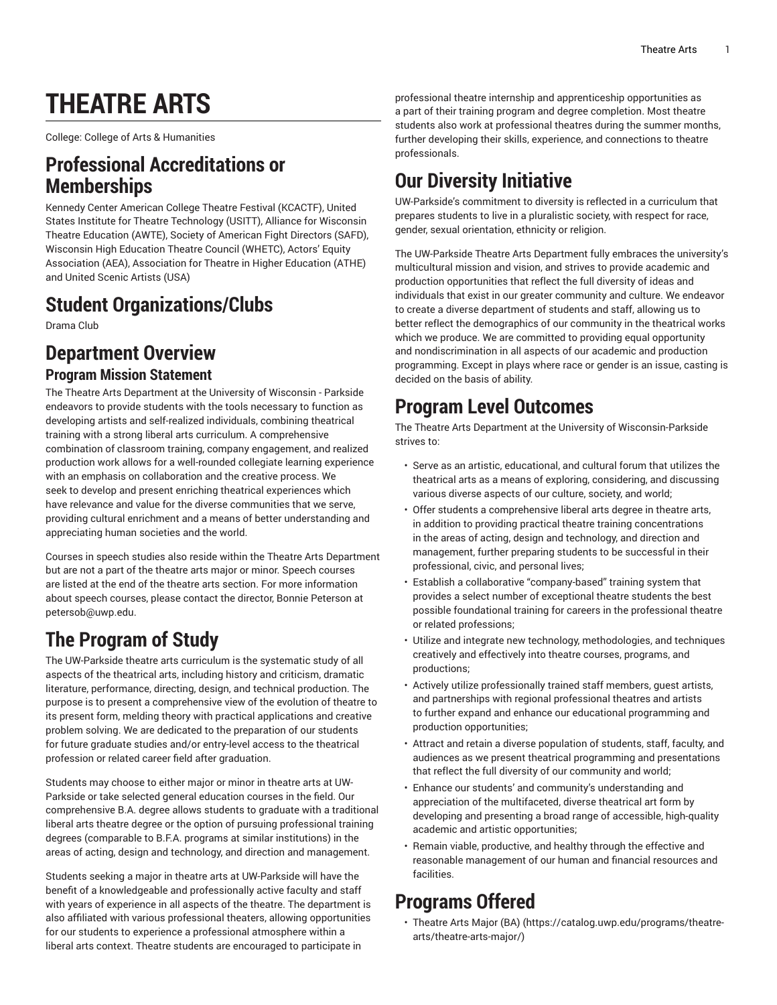# **THEATRE ARTS**

College: College of Arts & Humanities

### **Professional Accreditations or Memberships**

Kennedy Center American College Theatre Festival (KCACTF), United States Institute for Theatre Technology (USITT), Alliance for Wisconsin Theatre Education (AWTE), Society of American Fight Directors (SAFD), Wisconsin High Education Theatre Council (WHETC), Actors' Equity Association (AEA), Association for Theatre in Higher Education (ATHE) and United Scenic Artists (USA)

### **Student Organizations/Clubs**

Drama Club

### **Department Overview Program Mission Statement**

The Theatre Arts Department at the University of Wisconsin - Parkside endeavors to provide students with the tools necessary to function as developing artists and self-realized individuals, combining theatrical training with a strong liberal arts curriculum. A comprehensive combination of classroom training, company engagement, and realized production work allows for a well-rounded collegiate learning experience with an emphasis on collaboration and the creative process. We seek to develop and present enriching theatrical experiences which have relevance and value for the diverse communities that we serve, providing cultural enrichment and a means of better understanding and appreciating human societies and the world.

Courses in speech studies also reside within the Theatre Arts Department but are not a part of the theatre arts major or minor. Speech courses are listed at the end of the theatre arts section. For more information about speech courses, please contact the director, Bonnie Peterson at [petersob@uwp.edu](mailto:petersob@uwp.edu).

### **The Program of Study**

The UW-Parkside theatre arts curriculum is the systematic study of all aspects of the theatrical arts, including history and criticism, dramatic literature, performance, directing, design, and technical production. The purpose is to present a comprehensive view of the evolution of theatre to its present form, melding theory with practical applications and creative problem solving. We are dedicated to the preparation of our students for future graduate studies and/or entry-level access to the theatrical profession or related career field after graduation.

Students may choose to either major or minor in theatre arts at UW-Parkside or take selected general education courses in the field. Our comprehensive B.A. degree allows students to graduate with a traditional liberal arts theatre degree or the option of pursuing professional training degrees (comparable to B.F.A. programs at similar institutions) in the areas of acting, design and technology, and direction and management.

Students seeking a major in theatre arts at UW-Parkside will have the benefit of a knowledgeable and professionally active faculty and staff with years of experience in all aspects of the theatre. The department is also affiliated with various professional theaters, allowing opportunities for our students to experience a professional atmosphere within a liberal arts context. Theatre students are encouraged to participate in

professional theatre internship and apprenticeship opportunities as a part of their training program and degree completion. Most theatre students also work at professional theatres during the summer months, further developing their skills, experience, and connections to theatre professionals.

## **Our Diversity Initiative**

UW-Parkside's commitment to diversity is reflected in a curriculum that prepares students to live in a pluralistic society, with respect for race, gender, sexual orientation, ethnicity or religion.

The UW-Parkside Theatre Arts Department fully embraces the university's multicultural mission and vision, and strives to provide academic and production opportunities that reflect the full diversity of ideas and individuals that exist in our greater community and culture. We endeavor to create a diverse department of students and staff, allowing us to better reflect the demographics of our community in the theatrical works which we produce. We are committed to providing equal opportunity and nondiscrimination in all aspects of our academic and production programming. Except in plays where race or gender is an issue, casting is decided on the basis of ability.

### **Program Level Outcomes**

The Theatre Arts Department at the University of Wisconsin-Parkside strives to:

- Serve as an artistic, educational, and cultural forum that utilizes the theatrical arts as a means of exploring, considering, and discussing various diverse aspects of our culture, society, and world;
- Offer students a comprehensive liberal arts degree in theatre arts, in addition to providing practical theatre training concentrations in the areas of acting, design and technology, and direction and management, further preparing students to be successful in their professional, civic, and personal lives;
- Establish a collaborative "company-based" training system that provides a select number of exceptional theatre students the best possible foundational training for careers in the professional theatre or related professions;
- Utilize and integrate new technology, methodologies, and techniques creatively and effectively into theatre courses, programs, and productions;
- Actively utilize professionally trained staff members, guest artists, and partnerships with regional professional theatres and artists to further expand and enhance our educational programming and production opportunities;
- Attract and retain a diverse population of students, staff, faculty, and audiences as we present theatrical programming and presentations that reflect the full diversity of our community and world;
- Enhance our students' and community's understanding and appreciation of the multifaceted, diverse theatrical art form by developing and presenting a broad range of accessible, high-quality academic and artistic opportunities;
- Remain viable, productive, and healthy through the effective and reasonable management of our human and financial resources and facilities.

### **Programs Offered**

• [Theatre](https://catalog.uwp.edu/programs/theatre-arts/theatre-arts-major/) Arts Major (BA) ([https://catalog.uwp.edu/programs/theatre](https://catalog.uwp.edu/programs/theatre-arts/theatre-arts-major/)[arts/theatre-arts-major/\)](https://catalog.uwp.edu/programs/theatre-arts/theatre-arts-major/)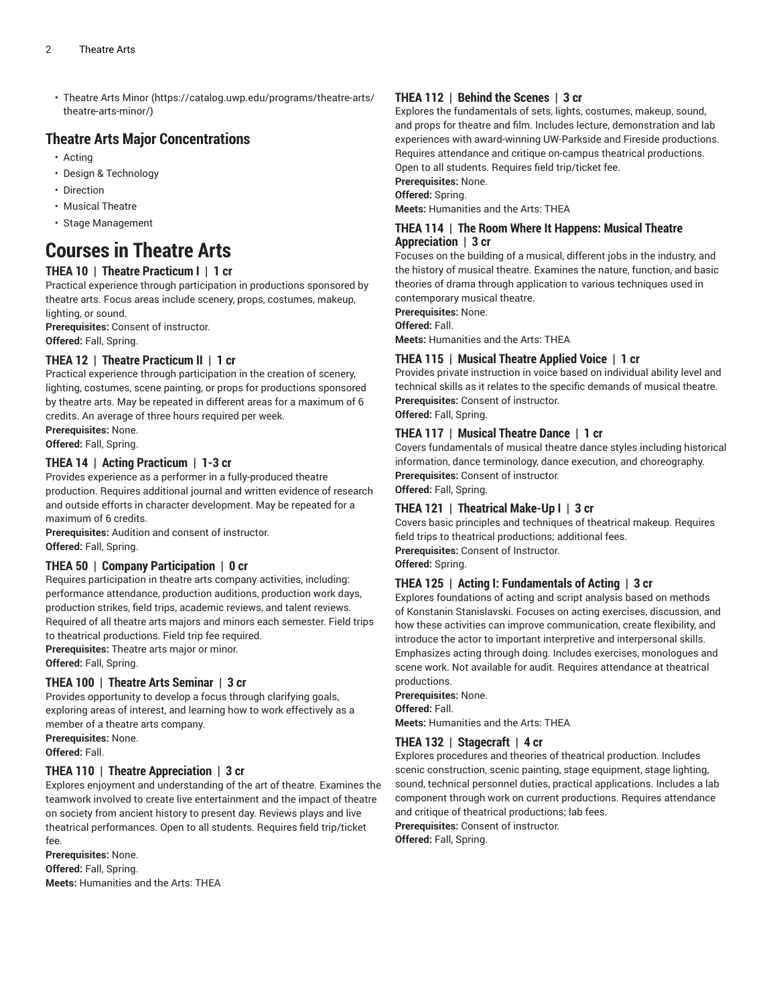• [Theatre](https://catalog.uwp.edu/programs/theatre-arts/theatre-arts-minor/) Arts Minor ([https://catalog.uwp.edu/programs/theatre-arts/](https://catalog.uwp.edu/programs/theatre-arts/theatre-arts-minor/) [theatre-arts-minor/](https://catalog.uwp.edu/programs/theatre-arts/theatre-arts-minor/))

### **Theatre Arts Major Concentrations**

- Acting
- Design & Technology
- Direction
- Musical Theatre
- Stage Management

### **Courses in Theatre Arts**

#### **THEA 10 | Theatre Practicum I | 1 cr**

Practical experience through participation in productions sponsored by theatre arts. Focus areas include scenery, props, costumes, makeup, lighting, or sound.

**Prerequisites:** Consent of instructor. **Offered:** Fall, Spring.

#### **THEA 12 | Theatre Practicum II | 1 cr**

Practical experience through participation in the creation of scenery, lighting, costumes, scene painting, or props for productions sponsored by theatre arts. May be repeated in different areas for a maximum of 6 credits. An average of three hours required per week.

**Prerequisites:** None. **Offered:** Fall, Spring.

### **THEA 14 | Acting Practicum | 1-3 cr**

Provides experience as a performer in a fully-produced theatre production. Requires additional journal and written evidence of research and outside efforts in character development. May be repeated for a maximum of 6 credits.

**Prerequisites:** Audition and consent of instructor. **Offered:** Fall, Spring.

#### **THEA 50 | Company Participation | 0 cr**

Requires participation in theatre arts company activities, including: performance attendance, production auditions, production work days, production strikes, field trips, academic reviews, and talent reviews. Required of all theatre arts majors and minors each semester. Field trips to theatrical productions. Field trip fee required.

**Prerequisites:** Theatre arts major or minor.

**Offered:** Fall, Spring.

#### **THEA 100 | Theatre Arts Seminar | 3 cr**

Provides opportunity to develop a focus through clarifying goals, exploring areas of interest, and learning how to work effectively as a member of a theatre arts company.

**Prerequisites:** None. **Offered:** Fall.

#### **THEA 110 | Theatre Appreciation | 3 cr**

Explores enjoyment and understanding of the art of theatre. Examines the teamwork involved to create live entertainment and the impact of theatre on society from ancient history to present day. Reviews plays and live theatrical performances. Open to all students. Requires field trip/ticket fee.

**Prerequisites:** None. **Offered:** Fall, Spring. **Meets:** Humanities and the Arts: THEA

#### **THEA 112 | Behind the Scenes | 3 cr**

Explores the fundamentals of sets, lights, costumes, makeup, sound, and props for theatre and film. Includes lecture, demonstration and lab experiences with award-winning UW-Parkside and Fireside productions. Requires attendance and critique on-campus theatrical productions. Open to all students. Requires field trip/ticket fee.

**Prerequisites:** None. **Offered:** Spring.

**Meets:** Humanities and the Arts: THEA

#### **THEA 114 | The Room Where It Happens: Musical Theatre Appreciation | 3 cr**

Focuses on the building of a musical, different jobs in the industry, and the history of musical theatre. Examines the nature, function, and basic theories of drama through application to various techniques used in contemporary musical theatre.

**Prerequisites:** None.

**Offered:** Fall.

**Meets:** Humanities and the Arts: THEA

#### **THEA 115 | Musical Theatre Applied Voice | 1 cr**

Provides private instruction in voice based on individual ability level and technical skills as it relates to the specific demands of musical theatre. **Prerequisites:** Consent of instructor.

**Offered:** Fall, Spring.

#### **THEA 117 | Musical Theatre Dance | 1 cr**

Covers fundamentals of musical theatre dance styles including historical information, dance terminology, dance execution, and choreography. **Prerequisites:** Consent of instructor. **Offered:** Fall, Spring.

#### **THEA 121 | Theatrical Make-Up I | 3 cr**

Covers basic principles and techniques of theatrical makeup. Requires field trips to theatrical productions; additional fees.

**Prerequisites:** Consent of Instructor. **Offered:** Spring.

#### **THEA 125 | Acting I: Fundamentals of Acting | 3 cr**

Explores foundations of acting and script analysis based on methods of Konstanin Stanislavski. Focuses on acting exercises, discussion, and how these activities can improve communication, create flexibility, and introduce the actor to important interpretive and interpersonal skills. Emphasizes acting through doing. Includes exercises, monologues and scene work. Not available for audit. Requires attendance at theatrical productions.

**Prerequisites:** None. **Offered:** Fall.

**Meets:** Humanities and the Arts: THEA

#### **THEA 132 | Stagecraft | 4 cr**

Explores procedures and theories of theatrical production. Includes scenic construction, scenic painting, stage equipment, stage lighting, sound, technical personnel duties, practical applications. Includes a lab component through work on current productions. Requires attendance and critique of theatrical productions; lab fees.

**Prerequisites:** Consent of instructor.

**Offered:** Fall, Spring.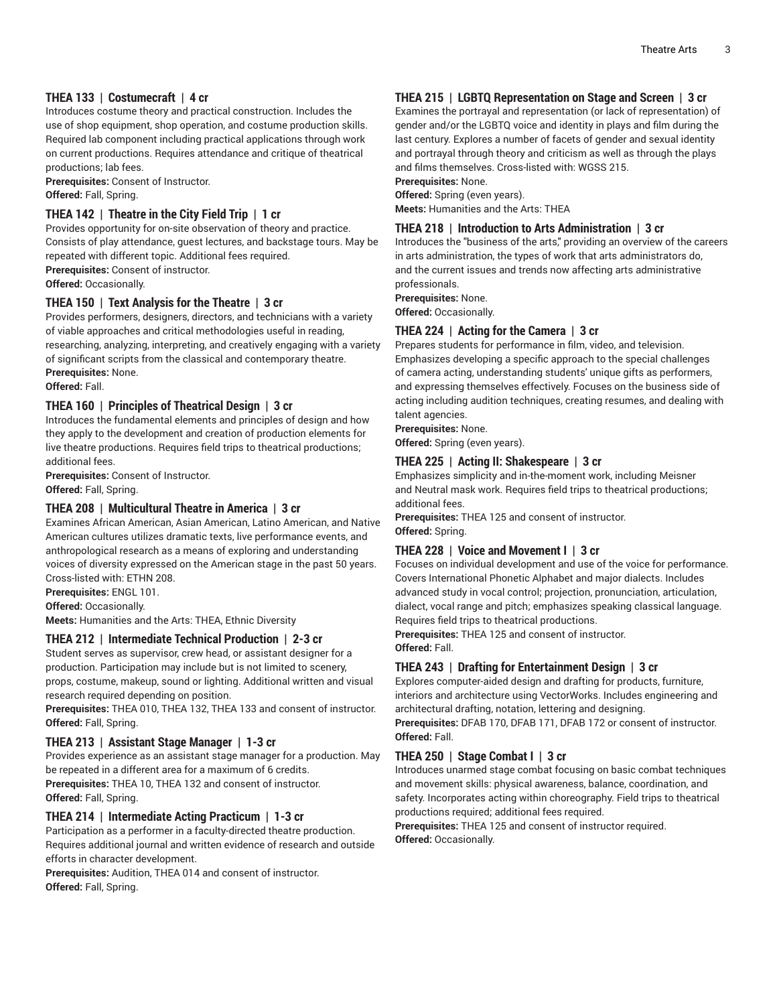#### **THEA 133 | Costumecraft | 4 cr**

Introduces costume theory and practical construction. Includes the use of shop equipment, shop operation, and costume production skills. Required lab component including practical applications through work on current productions. Requires attendance and critique of theatrical productions; lab fees.

**Prerequisites:** Consent of Instructor. **Offered:** Fall, Spring.

#### **THEA 142 | Theatre in the City Field Trip | 1 cr**

Provides opportunity for on-site observation of theory and practice. Consists of play attendance, guest lectures, and backstage tours. May be repeated with different topic. Additional fees required. **Prerequisites:** Consent of instructor.

**Offered:** Occasionally.

#### **THEA 150 | Text Analysis for the Theatre | 3 cr**

Provides performers, designers, directors, and technicians with a variety of viable approaches and critical methodologies useful in reading, researching, analyzing, interpreting, and creatively engaging with a variety of significant scripts from the classical and contemporary theatre. **Prerequisites:** None.

**Offered:** Fall.

#### **THEA 160 | Principles of Theatrical Design | 3 cr**

Introduces the fundamental elements and principles of design and how they apply to the development and creation of production elements for live theatre productions. Requires field trips to theatrical productions; additional fees.

**Prerequisites:** Consent of Instructor. **Offered:** Fall, Spring.

#### **THEA 208 | Multicultural Theatre in America | 3 cr**

Examines African American, Asian American, Latino American, and Native American cultures utilizes dramatic texts, live performance events, and anthropological research as a means of exploring and understanding voices of diversity expressed on the American stage in the past 50 years. Cross-listed with: ETHN 208.

**Prerequisites:** ENGL 101.

**Offered:** Occasionally.

**Meets:** Humanities and the Arts: THEA, Ethnic Diversity

#### **THEA 212 | Intermediate Technical Production | 2-3 cr**

Student serves as supervisor, crew head, or assistant designer for a production. Participation may include but is not limited to scenery, props, costume, makeup, sound or lighting. Additional written and visual research required depending on position.

**Prerequisites:** THEA 010, THEA 132, THEA 133 and consent of instructor. **Offered:** Fall, Spring.

#### **THEA 213 | Assistant Stage Manager | 1-3 cr**

Provides experience as an assistant stage manager for a production. May be repeated in a different area for a maximum of 6 credits.

**Prerequisites:** THEA 10, THEA 132 and consent of instructor. **Offered:** Fall, Spring.

#### **THEA 214 | Intermediate Acting Practicum | 1-3 cr**

Participation as a performer in a faculty-directed theatre production. Requires additional journal and written evidence of research and outside efforts in character development.

**Prerequisites:** Audition, THEA 014 and consent of instructor. **Offered:** Fall, Spring.

#### **THEA 215 | LGBTQ Representation on Stage and Screen | 3 cr**

Examines the portrayal and representation (or lack of representation) of gender and/or the LGBTQ voice and identity in plays and film during the last century. Explores a number of facets of gender and sexual identity and portrayal through theory and criticism as well as through the plays and films themselves. Cross-listed with: WGSS 215.

**Prerequisites:** None.

**Offered:** Spring (even years). **Meets:** Humanities and the Arts: THEA

#### **THEA 218 | Introduction to Arts Administration | 3 cr**

Introduces the "business of the arts," providing an overview of the careers in arts administration, the types of work that arts administrators do, and the current issues and trends now affecting arts administrative professionals.

**Prerequisites:** None.

**Offered:** Occasionally.

#### **THEA 224 | Acting for the Camera | 3 cr**

Prepares students for performance in film, video, and television. Emphasizes developing a specific approach to the special challenges of camera acting, understanding students' unique gifts as performers, and expressing themselves effectively. Focuses on the business side of acting including audition techniques, creating resumes, and dealing with talent agencies.

**Prerequisites:** None.

**Offered:** Spring (even years).

#### **THEA 225 | Acting II: Shakespeare | 3 cr**

Emphasizes simplicity and in-the-moment work, including Meisner and Neutral mask work. Requires field trips to theatrical productions; additional fees.

**Prerequisites:** THEA 125 and consent of instructor. **Offered:** Spring.

#### **THEA 228 | Voice and Movement I | 3 cr**

Focuses on individual development and use of the voice for performance. Covers International Phonetic Alphabet and major dialects. Includes advanced study in vocal control; projection, pronunciation, articulation, dialect, vocal range and pitch; emphasizes speaking classical language. Requires field trips to theatrical productions.

**Prerequisites:** THEA 125 and consent of instructor. **Offered:** Fall.

#### **THEA 243 | Drafting for Entertainment Design | 3 cr**

Explores computer-aided design and drafting for products, furniture, interiors and architecture using VectorWorks. Includes engineering and architectural drafting, notation, lettering and designing.

**Prerequisites:** DFAB 170, DFAB 171, DFAB 172 or consent of instructor. **Offered:** Fall.

#### **THEA 250 | Stage Combat I | 3 cr**

Introduces unarmed stage combat focusing on basic combat techniques and movement skills: physical awareness, balance, coordination, and safety. Incorporates acting within choreography. Field trips to theatrical productions required; additional fees required.

**Prerequisites:** THEA 125 and consent of instructor required. **Offered:** Occasionally.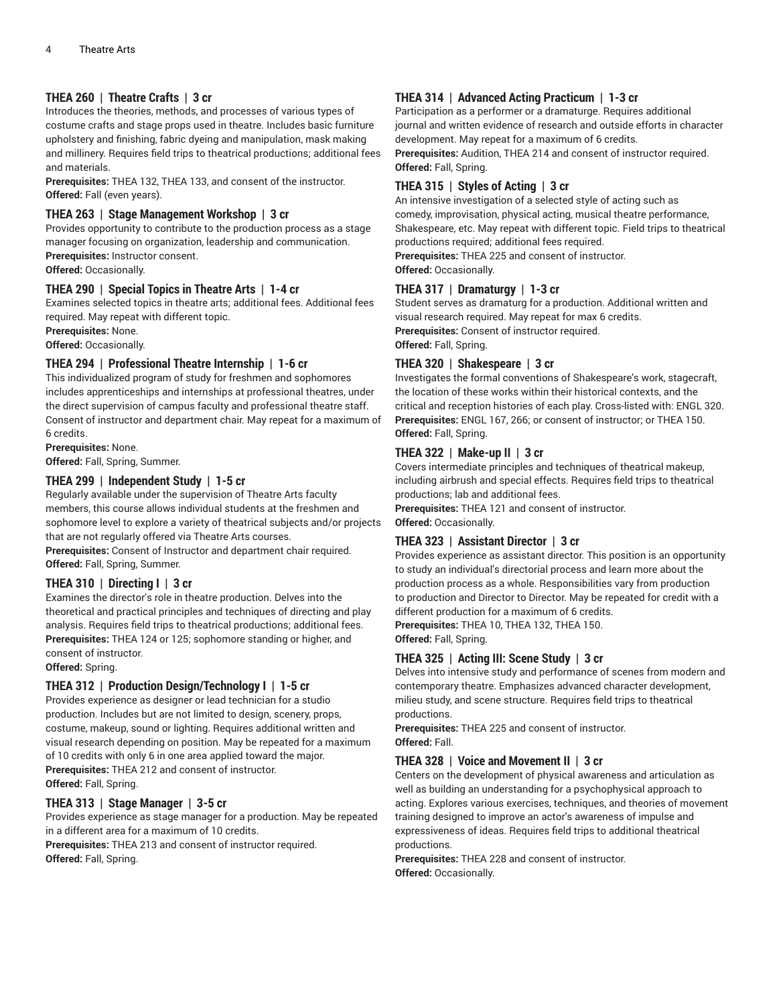#### **THEA 260 | Theatre Crafts | 3 cr**

Introduces the theories, methods, and processes of various types of costume crafts and stage props used in theatre. Includes basic furniture upholstery and finishing, fabric dyeing and manipulation, mask making and millinery. Requires field trips to theatrical productions; additional fees and materials.

**Prerequisites:** THEA 132, THEA 133, and consent of the instructor. **Offered:** Fall (even years).

#### **THEA 263 | Stage Management Workshop | 3 cr**

Provides opportunity to contribute to the production process as a stage manager focusing on organization, leadership and communication. **Prerequisites:** Instructor consent.

**Offered:** Occasionally.

#### **THEA 290 | Special Topics in Theatre Arts | 1-4 cr**

Examines selected topics in theatre arts; additional fees. Additional fees required. May repeat with different topic.

**Prerequisites:** None.

**Offered:** Occasionally.

#### **THEA 294 | Professional Theatre Internship | 1-6 cr**

This individualized program of study for freshmen and sophomores includes apprenticeships and internships at professional theatres, under the direct supervision of campus faculty and professional theatre staff. Consent of instructor and department chair. May repeat for a maximum of 6 credits.

**Prerequisites:** None.

#### **Offered:** Fall, Spring, Summer.

#### **THEA 299 | Independent Study | 1-5 cr**

Regularly available under the supervision of Theatre Arts faculty members, this course allows individual students at the freshmen and sophomore level to explore a variety of theatrical subjects and/or projects that are not regularly offered via Theatre Arts courses.

**Prerequisites:** Consent of Instructor and department chair required. **Offered:** Fall, Spring, Summer.

#### **THEA 310 | Directing I | 3 cr**

Examines the director's role in theatre production. Delves into the theoretical and practical principles and techniques of directing and play analysis. Requires field trips to theatrical productions; additional fees. **Prerequisites:** THEA 124 or 125; sophomore standing or higher, and consent of instructor.

**Offered:** Spring.

#### **THEA 312 | Production Design/Technology I | 1-5 cr**

Provides experience as designer or lead technician for a studio production. Includes but are not limited to design, scenery, props, costume, makeup, sound or lighting. Requires additional written and visual research depending on position. May be repeated for a maximum of 10 credits with only 6 in one area applied toward the major. **Prerequisites:** THEA 212 and consent of instructor. **Offered:** Fall, Spring.

#### **THEA 313 | Stage Manager | 3-5 cr**

Provides experience as stage manager for a production. May be repeated in a different area for a maximum of 10 credits.

**Prerequisites:** THEA 213 and consent of instructor required. **Offered:** Fall, Spring.

#### **THEA 314 | Advanced Acting Practicum | 1-3 cr**

Participation as a performer or a dramaturge. Requires additional journal and written evidence of research and outside efforts in character development. May repeat for a maximum of 6 credits.

**Prerequisites:** Audition, THEA 214 and consent of instructor required. **Offered:** Fall, Spring.

#### **THEA 315 | Styles of Acting | 3 cr**

An intensive investigation of a selected style of acting such as comedy, improvisation, physical acting, musical theatre performance, Shakespeare, etc. May repeat with different topic. Field trips to theatrical productions required; additional fees required.

**Prerequisites:** THEA 225 and consent of instructor. **Offered:** Occasionally.

#### **THEA 317 | Dramaturgy | 1-3 cr**

Student serves as dramaturg for a production. Additional written and visual research required. May repeat for max 6 credits. **Prerequisites:** Consent of instructor required. **Offered:** Fall, Spring.

#### **THEA 320 | Shakespeare | 3 cr**

Investigates the formal conventions of Shakespeare's work, stagecraft, the location of these works within their historical contexts, and the critical and reception histories of each play. Cross-listed with: ENGL 320. **Prerequisites:** ENGL 167, 266; or consent of instructor; or THEA 150. **Offered:** Fall, Spring.

#### **THEA 322 | Make-up II | 3 cr**

Covers intermediate principles and techniques of theatrical makeup, including airbrush and special effects. Requires field trips to theatrical productions; lab and additional fees.

**Prerequisites:** THEA 121 and consent of instructor. **Offered:** Occasionally.

#### **THEA 323 | Assistant Director | 3 cr**

Provides experience as assistant director. This position is an opportunity to study an individual's directorial process and learn more about the production process as a whole. Responsibilities vary from production to production and Director to Director. May be repeated for credit with a different production for a maximum of 6 credits. **Prerequisites:** THEA 10, THEA 132, THEA 150.

**Offered:** Fall, Spring.

#### **THEA 325 | Acting III: Scene Study | 3 cr**

Delves into intensive study and performance of scenes from modern and contemporary theatre. Emphasizes advanced character development, milieu study, and scene structure. Requires field trips to theatrical productions.

**Prerequisites:** THEA 225 and consent of instructor. **Offered:** Fall.

#### **THEA 328 | Voice and Movement II | 3 cr**

Centers on the development of physical awareness and articulation as well as building an understanding for a psychophysical approach to acting. Explores various exercises, techniques, and theories of movement training designed to improve an actor's awareness of impulse and expressiveness of ideas. Requires field trips to additional theatrical productions.

**Prerequisites:** THEA 228 and consent of instructor. **Offered:** Occasionally.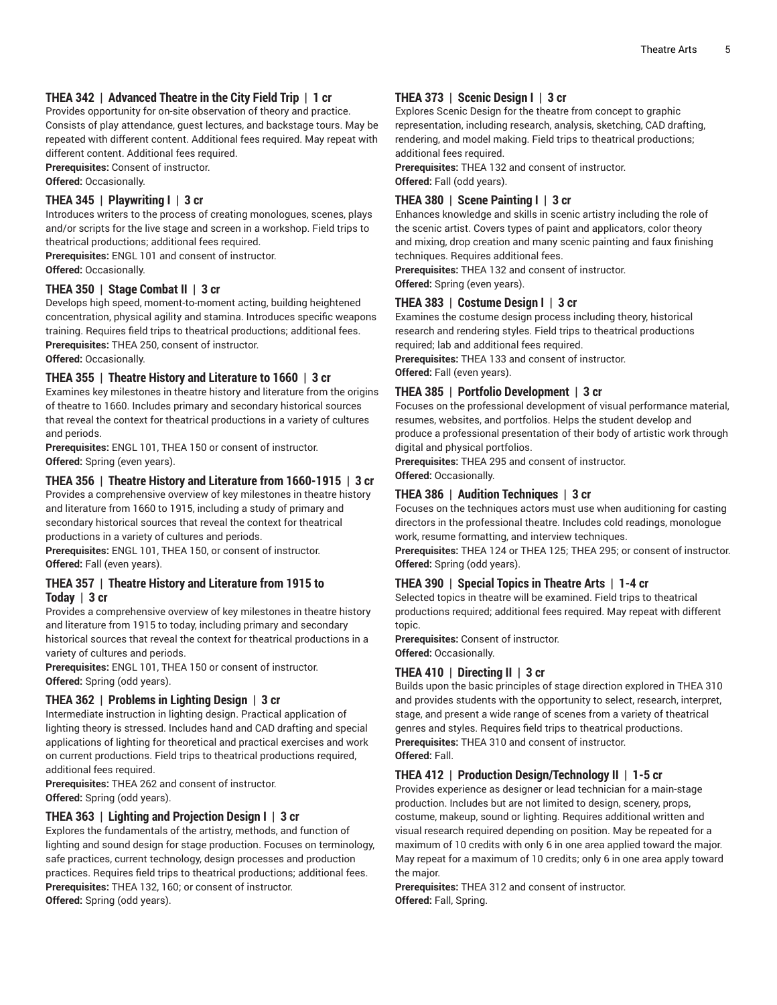#### **THEA 342 | Advanced Theatre in the City Field Trip | 1 cr**

Provides opportunity for on-site observation of theory and practice. Consists of play attendance, guest lectures, and backstage tours. May be

repeated with different content. Additional fees required. May repeat with different content. Additional fees required.

**Prerequisites:** Consent of instructor.

**Offered:** Occasionally.

#### **THEA 345 | Playwriting I | 3 cr**

Introduces writers to the process of creating monologues, scenes, plays and/or scripts for the live stage and screen in a workshop. Field trips to theatrical productions; additional fees required.

**Prerequisites:** ENGL 101 and consent of instructor.

**Offered:** Occasionally.

#### **THEA 350 | Stage Combat II | 3 cr**

Develops high speed, moment-to-moment acting, building heightened concentration, physical agility and stamina. Introduces specific weapons training. Requires field trips to theatrical productions; additional fees. **Prerequisites:** THEA 250, consent of instructor.

**Offered:** Occasionally.

#### **THEA 355 | Theatre History and Literature to 1660 | 3 cr**

Examines key milestones in theatre history and literature from the origins of theatre to 1660. Includes primary and secondary historical sources that reveal the context for theatrical productions in a variety of cultures and periods.

**Prerequisites:** ENGL 101, THEA 150 or consent of instructor. **Offered:** Spring (even years).

#### **THEA 356 | Theatre History and Literature from 1660-1915 | 3 cr**

Provides a comprehensive overview of key milestones in theatre history and literature from 1660 to 1915, including a study of primary and secondary historical sources that reveal the context for theatrical productions in a variety of cultures and periods.

**Prerequisites:** ENGL 101, THEA 150, or consent of instructor. **Offered:** Fall (even years).

#### **THEA 357 | Theatre History and Literature from 1915 to Today | 3 cr**

Provides a comprehensive overview of key milestones in theatre history and literature from 1915 to today, including primary and secondary historical sources that reveal the context for theatrical productions in a variety of cultures and periods.

**Prerequisites:** ENGL 101, THEA 150 or consent of instructor. **Offered:** Spring (odd years).

#### **THEA 362 | Problems in Lighting Design | 3 cr**

Intermediate instruction in lighting design. Practical application of lighting theory is stressed. Includes hand and CAD drafting and special applications of lighting for theoretical and practical exercises and work on current productions. Field trips to theatrical productions required, additional fees required.

**Prerequisites:** THEA 262 and consent of instructor. **Offered:** Spring (odd years).

#### **THEA 363 | Lighting and Projection Design I | 3 cr**

Explores the fundamentals of the artistry, methods, and function of lighting and sound design for stage production. Focuses on terminology, safe practices, current technology, design processes and production practices. Requires field trips to theatrical productions; additional fees. **Prerequisites:** THEA 132, 160; or consent of instructor. **Offered:** Spring (odd years).

#### **THEA 373 | Scenic Design I | 3 cr**

Explores Scenic Design for the theatre from concept to graphic representation, including research, analysis, sketching, CAD drafting, rendering, and model making. Field trips to theatrical productions; additional fees required.

**Prerequisites:** THEA 132 and consent of instructor. **Offered:** Fall (odd years).

#### **THEA 380 | Scene Painting I | 3 cr**

Enhances knowledge and skills in scenic artistry including the role of the scenic artist. Covers types of paint and applicators, color theory and mixing, drop creation and many scenic painting and faux finishing techniques. Requires additional fees.

**Prerequisites:** THEA 132 and consent of instructor. **Offered:** Spring (even years).

#### **THEA 383 | Costume Design I | 3 cr**

Examines the costume design process including theory, historical research and rendering styles. Field trips to theatrical productions required; lab and additional fees required.

**Prerequisites:** THEA 133 and consent of instructor.

**Offered:** Fall (even years).

#### **THEA 385 | Portfolio Development | 3 cr**

Focuses on the professional development of visual performance material, resumes, websites, and portfolios. Helps the student develop and produce a professional presentation of their body of artistic work through digital and physical portfolios.

**Prerequisites:** THEA 295 and consent of instructor.

#### **Offered:** Occasionally.

#### **THEA 386 | Audition Techniques | 3 cr**

Focuses on the techniques actors must use when auditioning for casting directors in the professional theatre. Includes cold readings, monologue work, resume formatting, and interview techniques.

**Prerequisites:** THEA 124 or THEA 125; THEA 295; or consent of instructor. **Offered:** Spring (odd years).

#### **THEA 390 | Special Topics in Theatre Arts | 1-4 cr**

Selected topics in theatre will be examined. Field trips to theatrical productions required; additional fees required. May repeat with different topic.

**Prerequisites:** Consent of instructor. **Offered:** Occasionally.

#### **THEA 410 | Directing II | 3 cr**

Builds upon the basic principles of stage direction explored in THEA 310 and provides students with the opportunity to select, research, interpret, stage, and present a wide range of scenes from a variety of theatrical genres and styles. Requires field trips to theatrical productions. **Prerequisites:** THEA 310 and consent of instructor. **Offered:** Fall.

#### **THEA 412 | Production Design/Technology II | 1-5 cr**

Provides experience as designer or lead technician for a main-stage production. Includes but are not limited to design, scenery, props, costume, makeup, sound or lighting. Requires additional written and visual research required depending on position. May be repeated for a maximum of 10 credits with only 6 in one area applied toward the major. May repeat for a maximum of 10 credits; only 6 in one area apply toward the major.

**Prerequisites:** THEA 312 and consent of instructor. **Offered:** Fall, Spring.